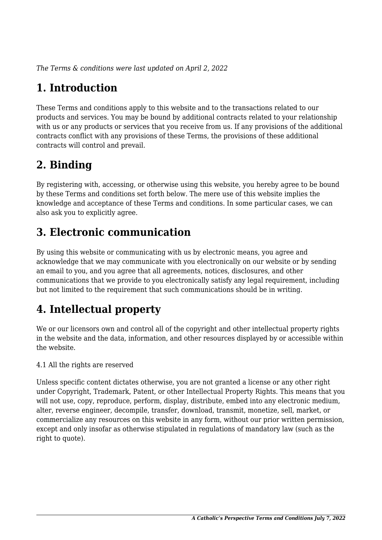*The Terms & conditions were last updated on April 2, 2022*

# **1. Introduction**

These Terms and conditions apply to this website and to the transactions related to our products and services. You may be bound by additional contracts related to your relationship with us or any products or services that you receive from us. If any provisions of the additional contracts conflict with any provisions of these Terms, the provisions of these additional contracts will control and prevail.

# **2. Binding**

By registering with, accessing, or otherwise using this website, you hereby agree to be bound by these Terms and conditions set forth below. The mere use of this website implies the knowledge and acceptance of these Terms and conditions. In some particular cases, we can also ask you to explicitly agree.

# **3. Electronic communication**

By using this website or communicating with us by electronic means, you agree and acknowledge that we may communicate with you electronically on our website or by sending an email to you, and you agree that all agreements, notices, disclosures, and other communications that we provide to you electronically satisfy any legal requirement, including but not limited to the requirement that such communications should be in writing.

# **4. Intellectual property**

We or our licensors own and control all of the copyright and other intellectual property rights in the website and the data, information, and other resources displayed by or accessible within the website.

4.1 All the rights are reserved

Unless specific content dictates otherwise, you are not granted a license or any other right under Copyright, Trademark, Patent, or other Intellectual Property Rights. This means that you will not use, copy, reproduce, perform, display, distribute, embed into any electronic medium, alter, reverse engineer, decompile, transfer, download, transmit, monetize, sell, market, or commercialize any resources on this website in any form, without our prior written permission, except and only insofar as otherwise stipulated in regulations of mandatory law (such as the right to quote).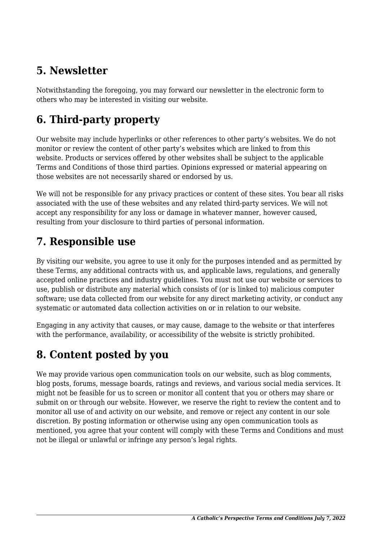### **5. Newsletter**

Notwithstanding the foregoing, you may forward our newsletter in the electronic form to others who may be interested in visiting our website.

# **6. Third-party property**

Our website may include hyperlinks or other references to other party's websites. We do not monitor or review the content of other party's websites which are linked to from this website. Products or services offered by other websites shall be subject to the applicable Terms and Conditions of those third parties. Opinions expressed or material appearing on those websites are not necessarily shared or endorsed by us.

We will not be responsible for any privacy practices or content of these sites. You bear all risks associated with the use of these websites and any related third-party services. We will not accept any responsibility for any loss or damage in whatever manner, however caused, resulting from your disclosure to third parties of personal information.

#### **7. Responsible use**

By visiting our website, you agree to use it only for the purposes intended and as permitted by these Terms, any additional contracts with us, and applicable laws, regulations, and generally accepted online practices and industry guidelines. You must not use our website or services to use, publish or distribute any material which consists of (or is linked to) malicious computer software; use data collected from our website for any direct marketing activity, or conduct any systematic or automated data collection activities on or in relation to our website.

Engaging in any activity that causes, or may cause, damage to the website or that interferes with the performance, availability, or accessibility of the website is strictly prohibited.

#### **8. Content posted by you**

We may provide various open communication tools on our website, such as blog comments, blog posts, forums, message boards, ratings and reviews, and various social media services. It might not be feasible for us to screen or monitor all content that you or others may share or submit on or through our website. However, we reserve the right to review the content and to monitor all use of and activity on our website, and remove or reject any content in our sole discretion. By posting information or otherwise using any open communication tools as mentioned, you agree that your content will comply with these Terms and Conditions and must not be illegal or unlawful or infringe any person's legal rights.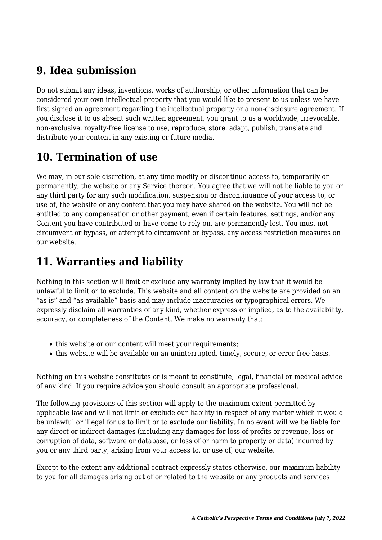### **9. Idea submission**

Do not submit any ideas, inventions, works of authorship, or other information that can be considered your own intellectual property that you would like to present to us unless we have first signed an agreement regarding the intellectual property or a non-disclosure agreement. If you disclose it to us absent such written agreement, you grant to us a worldwide, irrevocable, non-exclusive, royalty-free license to use, reproduce, store, adapt, publish, translate and distribute your content in any existing or future media.

# **10. Termination of use**

We may, in our sole discretion, at any time modify or discontinue access to, temporarily or permanently, the website or any Service thereon. You agree that we will not be liable to you or any third party for any such modification, suspension or discontinuance of your access to, or use of, the website or any content that you may have shared on the website. You will not be entitled to any compensation or other payment, even if certain features, settings, and/or any Content you have contributed or have come to rely on, are permanently lost. You must not circumvent or bypass, or attempt to circumvent or bypass, any access restriction measures on our website.

# **11. Warranties and liability**

Nothing in this section will limit or exclude any warranty implied by law that it would be unlawful to limit or to exclude. This website and all content on the website are provided on an "as is" and "as available" basis and may include inaccuracies or typographical errors. We expressly disclaim all warranties of any kind, whether express or implied, as to the availability, accuracy, or completeness of the Content. We make no warranty that:

- this website or our content will meet your requirements;
- this website will be available on an uninterrupted, timely, secure, or error-free basis.

Nothing on this website constitutes or is meant to constitute, legal, financial or medical advice of any kind. If you require advice you should consult an appropriate professional.

The following provisions of this section will apply to the maximum extent permitted by applicable law and will not limit or exclude our liability in respect of any matter which it would be unlawful or illegal for us to limit or to exclude our liability. In no event will we be liable for any direct or indirect damages (including any damages for loss of profits or revenue, loss or corruption of data, software or database, or loss of or harm to property or data) incurred by you or any third party, arising from your access to, or use of, our website.

Except to the extent any additional contract expressly states otherwise, our maximum liability to you for all damages arising out of or related to the website or any products and services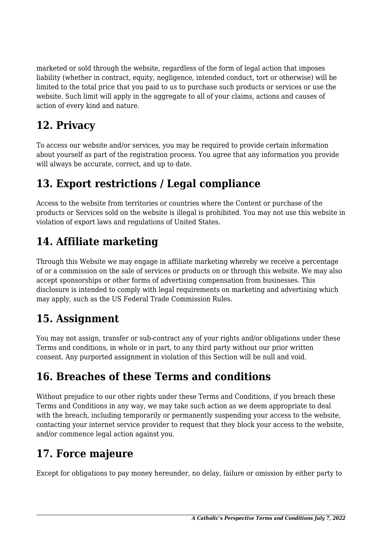marketed or sold through the website, regardless of the form of legal action that imposes liability (whether in contract, equity, negligence, intended conduct, tort or otherwise) will be limited to the total price that you paid to us to purchase such products or services or use the website. Such limit will apply in the aggregate to all of your claims, actions and causes of action of every kind and nature.

# **12. Privacy**

To access our website and/or services, you may be required to provide certain information about yourself as part of the registration process. You agree that any information you provide will always be accurate, correct, and up to date.

# **13. Export restrictions / Legal compliance**

Access to the website from territories or countries where the Content or purchase of the products or Services sold on the website is illegal is prohibited. You may not use this website in violation of export laws and regulations of United States.

### **14. Affiliate marketing**

Through this Website we may engage in affiliate marketing whereby we receive a percentage of or a commission on the sale of services or products on or through this website. We may also accept sponsorships or other forms of advertising compensation from businesses. This disclosure is intended to comply with legal requirements on marketing and advertising which may apply, such as the US Federal Trade Commission Rules.

#### **15. Assignment**

You may not assign, transfer or sub-contract any of your rights and/or obligations under these Terms and conditions, in whole or in part, to any third party without our prior written consent. Any purported assignment in violation of this Section will be null and void.

# **16. Breaches of these Terms and conditions**

Without prejudice to our other rights under these Terms and Conditions, if you breach these Terms and Conditions in any way, we may take such action as we deem appropriate to deal with the breach, including temporarily or permanently suspending your access to the website, contacting your internet service provider to request that they block your access to the website, and/or commence legal action against you.

# **17. Force majeure**

Except for obligations to pay money hereunder, no delay, failure or omission by either party to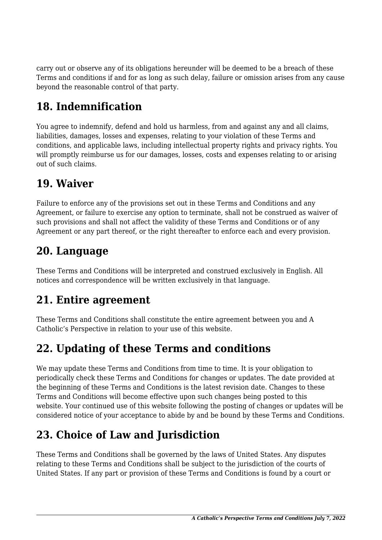carry out or observe any of its obligations hereunder will be deemed to be a breach of these Terms and conditions if and for as long as such delay, failure or omission arises from any cause beyond the reasonable control of that party.

# **18. Indemnification**

You agree to indemnify, defend and hold us harmless, from and against any and all claims, liabilities, damages, losses and expenses, relating to your violation of these Terms and conditions, and applicable laws, including intellectual property rights and privacy rights. You will promptly reimburse us for our damages, losses, costs and expenses relating to or arising out of such claims.

### **19. Waiver**

Failure to enforce any of the provisions set out in these Terms and Conditions and any Agreement, or failure to exercise any option to terminate, shall not be construed as waiver of such provisions and shall not affect the validity of these Terms and Conditions or of any Agreement or any part thereof, or the right thereafter to enforce each and every provision.

### **20. Language**

These Terms and Conditions will be interpreted and construed exclusively in English. All notices and correspondence will be written exclusively in that language.

#### **21. Entire agreement**

These Terms and Conditions shall constitute the entire agreement between you and A Catholic's Perspective in relation to your use of this website.

#### **22. Updating of these Terms and conditions**

We may update these Terms and Conditions from time to time. It is your obligation to periodically check these Terms and Conditions for changes or updates. The date provided at the beginning of these Terms and Conditions is the latest revision date. Changes to these Terms and Conditions will become effective upon such changes being posted to this website. Your continued use of this website following the posting of changes or updates will be considered notice of your acceptance to abide by and be bound by these Terms and Conditions.

# **23. Choice of Law and Jurisdiction**

These Terms and Conditions shall be governed by the laws of United States. Any disputes relating to these Terms and Conditions shall be subject to the jurisdiction of the courts of United States. If any part or provision of these Terms and Conditions is found by a court or